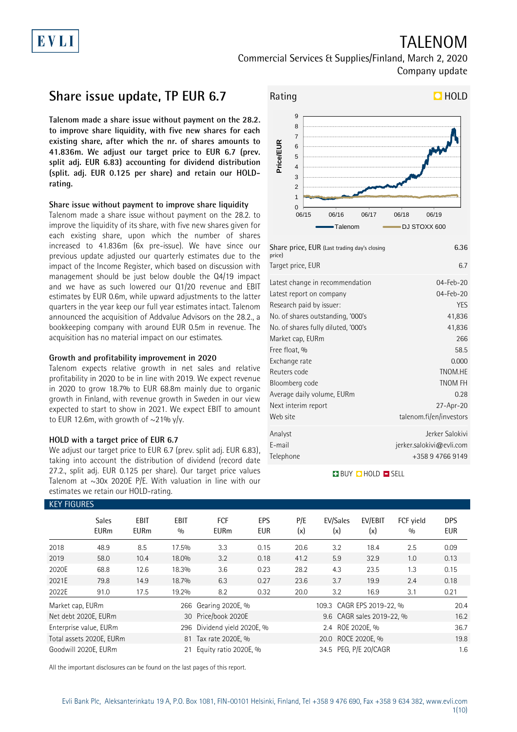# EVLI

## TALENOM Commercial Services & Supplies/Finland, March 2, 2020 Company update

## **Share issue update, TP EUR 6.7**

**Talenom made a share issue without payment on the 28.2. to improve share liquidity, with five new shares for each existing share, after which the nr. of shares amounts to 41.836m. We adjust our target price to EUR 6.7 (prev. split adj. EUR 6.83) accounting for dividend distribution (split. adj. EUR 0.125 per share) and retain our HOLDrating.**

### **Share issue without payment to improve share liquidity**

Talenom made a share issue without payment on the 28.2. to improve the liquidity of its share, with five new shares given for each existing share, upon which the number of shares increased to 41.836m (6x pre-issue). We have since our previous update adjusted our quarterly estimates due to the impact of the Income Register, which based on discussion with management should be just below double the Q4/19 impact and we have as such lowered our Q1/20 revenue and EBIT estimates by EUR 0.6m, while upward adjustments to the latter quarters in the year keep our full year estimates intact. Talenom announced the acquisition of Addvalue Advisors on the 28.2., a bookkeeping company with around EUR 0.5m in revenue. The acquisition has no material impact on our estimates.

### **Growth and profitability improvement in 2020**

Talenom expects relative growth in net sales and relative profitability in 2020 to be in line with 2019. We expect revenue in 2020 to grow 18.7% to EUR 68.8m mainly due to organic growth in Finland, with revenue growth in Sweden in our view expected to start to show in 2021. We expect EBIT to amount to EUR 12.6m, with growth of  $\sim$ 21% y/y.

### **HOLD with a target price of EUR 6.7**

We adjust our target price to EUR 6.7 (prev. split adj. EUR 6.83), taking into account the distribution of dividend (record date 27.2., split adj. EUR 0.125 per share). Our target price values Talenom at  $\sim$ 30x 2020E P/E. With valuation in line with our estimates we retain our HOLD-rating.



| Share price, EUR (Last trading day's closing<br>price) | 6.36                     |
|--------------------------------------------------------|--------------------------|
| Target price, EUR                                      | 6.7                      |
| Latest change in recommendation                        | 04-Feb-20                |
| Latest report on company                               | 04-Feb-20                |
| Research paid by issuer:                               | YES                      |
| No. of shares outstanding, '000's                      | 41,836                   |
| No. of shares fully diluted, '000's                    | 41,836                   |
| Market cap, EURm                                       | 266                      |
| Free float, %                                          | 58.5                     |
| Exchange rate                                          | 0.000                    |
| Reuters code                                           | TNOM.HE                  |
| Bloomberg code                                         | TNOM FH                  |
| Average daily volume, EURm                             | 0.28                     |
| Next interim report                                    | 27-Apr-20                |
| Web site                                               | talenom.fi/en/investors  |
| Analyst                                                | Jerker Salokivi          |
| E-mail                                                 | jerker.salokivi@evli.com |
| Telephone                                              | +358 9 4766 9149         |
|                                                        |                          |

## **BUY CHOLD SELL**

| <b>KEY FIGURES</b> |                             |                            |                    |                           |                   |            |                           |                           |                  |                   |
|--------------------|-----------------------------|----------------------------|--------------------|---------------------------|-------------------|------------|---------------------------|---------------------------|------------------|-------------------|
|                    | <b>Sales</b><br><b>EURm</b> | <b>EBIT</b><br><b>EURm</b> | <b>EBIT</b><br>0/0 | <b>FCF</b><br><b>EURm</b> | EPS<br><b>EUR</b> | P/E<br>(x) | EV/Sales<br>(x)           | EV/EBIT<br>(x)            | FCF yield<br>0/0 | DPS<br><b>EUR</b> |
| 2018               | 48.9                        | 8.5                        | 17.5%              | 3.3                       | 0.15              | 20.6       | 3.2                       | 18.4                      | 2.5              | 0.09              |
| 2019               | 58.0                        | 10.4                       | 18.0%              | 3.2                       | 0.18              | 41.2       | 5.9                       | 32.9                      | 1.0              | 0.13              |
| 2020E              | 68.8                        | 12.6                       | 18.3%              | 3.6                       | 0.23              | 28.2       | 4.3                       | 23.5                      | 1.3              | 0.15              |
| 2021E              | 79.8                        | 14.9                       | 18.7%              | 6.3                       | 0.27              | 23.6       | 3.7                       | 19.9                      | 2.4              | 0.18              |
| 2022E              | 91.0                        | 17.5                       | 19.2%              | 8.2                       | 0.32              | 20.0       | 3.2                       | 16.9                      | 3.1              | 0.21              |
| Market cap, EURm   |                             |                            |                    | 266 Gearing 2020E, %      |                   |            | 109.3 CAGR EPS 2019-22, % |                           |                  | 20.4              |
|                    | Net debt 2020E, EURm        |                            |                    | 30 Price/book 2020E       |                   |            |                           | 9.6 CAGR sales 2019-22, % |                  | 16.2              |
|                    | Enterprise value, EURm      |                            | 296                | Dividend yield 2020E, %   |                   |            | 2.4 ROE 2020E, %          |                           |                  | 36.7              |
|                    | Total assets 2020E, EURm    |                            |                    | 81 Tax rate 2020E, %      |                   |            | 20.0 ROCE 2020E, %        |                           |                  | 19.8              |
|                    | Goodwill 2020E, EURm        |                            | 21                 | Equity ratio 2020E, %     |                   |            | 34.5 PEG, P/E 20/CAGR     |                           |                  | 1.6               |

All the important disclosures can be found on the last pages of this report.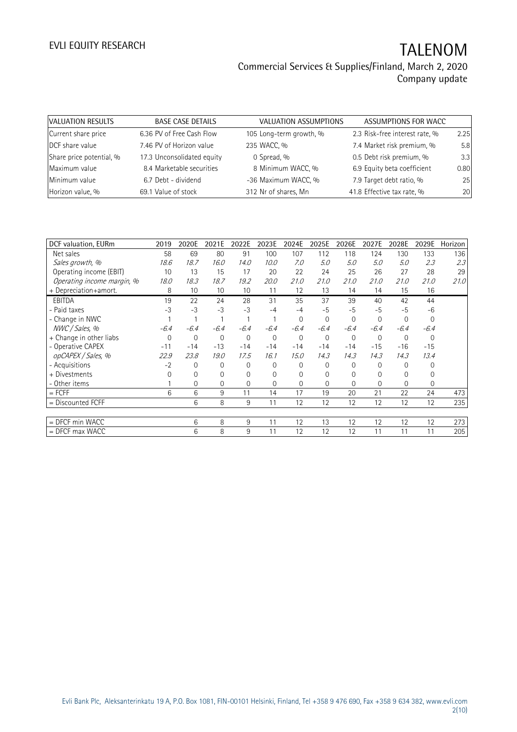| VALUATION RESULTS        | <b>BASE CASE DETAILS</b>   | VALUATION ASSUMPTIONS   | ASSUMPTIONS FOR WACC           |      |
|--------------------------|----------------------------|-------------------------|--------------------------------|------|
| Current share price      | 6.36 PV of Free Cash Flow  | 105 Long-term growth, % | 2.3 Risk-free interest rate, % | 2.25 |
| DCF share value          | 7.46 PV of Horizon value   | 235 WACC, %             | 7.4 Market risk premium, %     | 5.8  |
| Share price potential, % | 17.3 Unconsolidated equity | 0 Spread, %             | 0.5 Debt risk premium, %       | 3.3  |
| Maximum value            | 8.4 Marketable securities  | 8 Minimum WACC, %       | 6.9 Equity beta coefficient    | 0.80 |
| Minimum value            | 6.7 Debt - dividend        | -36 Maximum WACC, %     | 7.9 Target debt ratio, %       | 25   |
| Horizon value, %         | 69.1 Value of stock        | 312 Nr of shares, Mn    | 41.8 Effective tax rate, %     | 20   |

| DCF valuation, EURm        | 2019     | 2020E       | 2021E    | 2022E    | 2023E       | 2024E    | 2025E       | 2026E        | 2027E    | 2028E       | 2029E          | Horizon |
|----------------------------|----------|-------------|----------|----------|-------------|----------|-------------|--------------|----------|-------------|----------------|---------|
| Net sales                  | 58       | 69          | 80       | 91       | 100         | 107      | 112         | 118          | 124      | 130         | 133            | 136     |
| Sales growth, %            | 18.6     | 18.7        | 16.0     | 14.0     | 10.0        | 7.0      | 5.0         | 5.0          | 5.0      | 5.0         | 2.3            | 2.3     |
| Operating income (EBIT)    | 10       | 13          | 15       | 17       | 20          | 22       | 24          | 25           | 26       | 27          | 28             | 29      |
| Operating income margin, % | 18.0     | 18.3        | 18.7     | 19.2     | 20.0        | 21.0     | 21.0        | 21.0         | 21.0     | 21.0        | 21.0           | 21.0    |
| + Depreciation+amort.      | 8        | 10          | 10       | 10       | 11          | 12       | 13          | 14           | 14       | 15          | 16             |         |
| <b>EBITDA</b>              | 19       | 22          | 24       | 28       | 31          | 35       | 37          | 39           | 40       | 42          | 44             |         |
| - Paid taxes               | $-3$     | $-3$        | $-3$     | $-3$     | $-4$        | $-4$     | $-5$        | $-5$         | $-5$     | $-5$        | $-6$           |         |
| - Change in NWC            |          |             |          |          |             | $\Omega$ | $\mathbf 0$ | 0            | $\Omega$ | $\mathbf 0$ | $\overline{0}$ |         |
| NWC / Sales, %             | $-6.4$   | $-6.4$      | $-6.4$   | $-6.4$   | $-6.4$      | $-6.4$   | $-6.4$      | $-6.4$       | $-6.4$   | $-6.4$      | $-6.4$         |         |
| + Change in other liabs    | $\Omega$ | $\mathbf 0$ | 0        | $\Omega$ | $\mathbf 0$ | 0        | $\Omega$    | $\mathbf{0}$ | $\Omega$ | $\Omega$    | 0              |         |
| - Operative CAPEX          | $-11$    | $-14$       | $-13$    | $-14$    | $-14$       | $-14$    | $-14$       | $-14$        | $-15$    | $-16$       | $-15$          |         |
| opCAPEX / Sales, %         | 22.9     | 23.8        | 19.0     | 17.5     | 16.1        | 15.0     | 14.3        | 14.3         | 14.3     | 14.3        | 13.4           |         |
| - Acquisitions             | $-2$     | $\Omega$    | 0        | $\Omega$ | $\Omega$    | 0        | $\Omega$    | $\Omega$     | 0        | $\Omega$    | 0              |         |
| + Divestments              | O        | 0           | 0        | $\Omega$ | 0           | 0        | $\Omega$    | 0            | 0        | $\Omega$    | 0              |         |
| - Other items              |          | $\Omega$    | $\Omega$ | $\Omega$ | $\Omega$    | $\Omega$ | $\Omega$    | $\Omega$     | $\Omega$ | $\Omega$    | $\Omega$       |         |
| $=$ FCFF                   | 6        | 6           | 9        | 11       | 14          | 17       | 19          | 20           | 21       | 22          | 24             | 473     |
| $=$ Discounted FCFF        |          | 6           | 8        | 9        | 11          | 12       | 12          | 12           | 12       | 12          | 12             | 235     |
|                            |          |             |          |          |             |          |             |              |          |             |                |         |
| = DFCF min WACC            |          | 6           | 8        | 9        | 11          | 12       | 13          | 12           | 12       | 12          | 12             | 273     |
| $=$ DFCF max WACC          |          | 6           | 8        | 9        | 11          | 12       | 12          | 12           | 11       | 11          | 11             | 205     |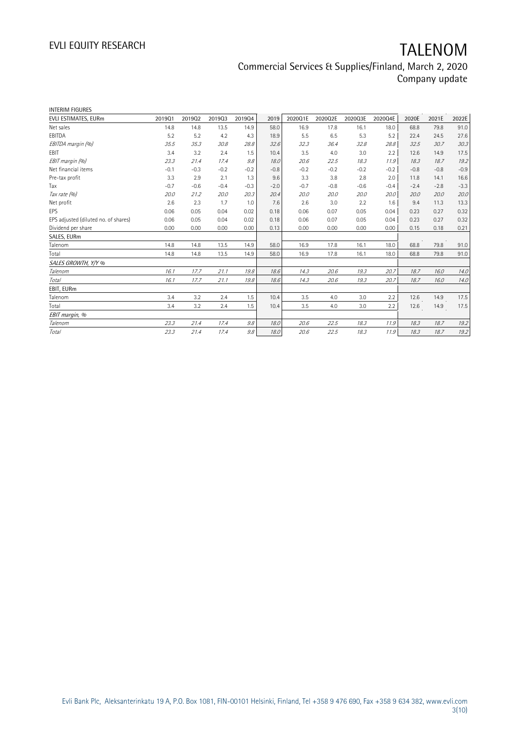| <b>INTERIM FIGURES</b>               |        |        |        |        |        |         |         |         |         |        |        |        |
|--------------------------------------|--------|--------|--------|--------|--------|---------|---------|---------|---------|--------|--------|--------|
| EVLI ESTIMATES, EURm                 | 201901 | 201902 | 201903 | 201904 | 2019   | 2020Q1E | 2020Q2E | 2020Q3E | 2020Q4E | 2020E  | 2021E  | 2022E  |
| Net sales                            | 14.8   | 14.8   | 13.5   | 14.9   | 58.0   | 16.9    | 17.8    | 16.1    | 18.0    | 68.8   | 79.8   | 91.0   |
| EBITDA                               | 5.2    | 5.2    | 4.2    | 4.3    | 18.9   | 5.5     | 6.5     | 5.3     | 5.2     | 22.4   | 24.5   | 27.6   |
| EBITDA margin (%)                    | 35.5   | 35.3   | 30.8   | 28.8   | 32.6   | 32.3    | 36.4    | 32.8    | 28.8    | 32.5   | 30.7   | 30.3   |
| EBIT                                 | 3.4    | 3.2    | 2.4    | 1.5    | 10.4   | 3.5     | 4.0     | 3.0     | 2.2     | 12.6   | 14.9   | 17.5   |
| EBIT margin (%)                      | 23.3   | 21.4   | 17.4   | 9.8    | 18.0   | 20.6    | 22.5    | 18.3    | 11.9    | 18.3   | 18.7   | 19.2   |
| Net financial items                  | $-0.1$ | $-0.3$ | $-0.2$ | $-0.2$ | $-0.8$ | $-0.2$  | $-0.2$  | $-0.2$  | $-0.2$  | $-0.8$ | $-0.8$ | $-0.9$ |
| Pre-tax profit                       | 3.3    | 2.9    | 2.1    | 1.3    | 9.6    | 3.3     | 3.8     | 2.8     | 2.0     | 11.8   | 14.1   | 16.6   |
| Tax                                  | $-0.7$ | $-0.6$ | $-0.4$ | $-0.3$ | $-2.0$ | $-0.7$  | $-0.8$  | $-0.6$  | $-0.4$  | $-2.4$ | $-2.8$ | $-3.3$ |
| Tax rate (%)                         | 20.0   | 21.2   | 20.0   | 20.3   | 20.4   | 20.0    | 20.0    | 20.0    | 20.0    | 20.0   | 20.0   | 20.0   |
| Net profit                           | 2.6    | 2.3    | 1.7    | 1.0    | 7.6    | 2.6     | 3.0     | 2.2     | 1.6     | 9.4    | 11.3   | 13.3   |
| EPS                                  | 0.06   | 0.05   | 0.04   | 0.02   | 0.18   | 0.06    | 0.07    | 0.05    | 0.04    | 0.23   | 0.27   | 0.32   |
| EPS adjusted (diluted no. of shares) | 0.06   | 0.05   | 0.04   | 0.02   | 0.18   | 0.06    | 0.07    | 0.05    | 0.04    | 0.23   | 0.27   | 0.32   |
| Dividend per share                   | 0.00   | 0.00   | 0.00   | 0.00   | 0.13   | 0.00    | 0.00    | 0.00    | 0.00    | 0.15   | 0.18   | 0.21   |
| SALES, EURm                          |        |        |        |        |        |         |         |         |         |        |        |        |
| Talenom                              | 14.8   | 14.8   | 13.5   | 14.9   | 58.0   | 16.9    | 17.8    | 16.1    | 18.0    | 68.8   | 79.8   | 91.0   |
| Total                                | 14.8   | 14.8   | 13.5   | 14.9   | 58.0   | 16.9    | 17.8    | 16.1    | 18.0    | 68.8   | 79.8   | 91.0   |
| SALES GROWTH, Y/Y %                  |        |        |        |        |        |         |         |         |         |        |        |        |
| Talenom                              | 16.1   | 17.7   | 21.1   | 19.8   | 18.6   | 14.3    | 20.6    | 19.3    | 20.7    | 18.7   | 16.0   | 14.0   |
| Total                                | 16.1   | 17.7   | 21.1   | 19.8   | 18.6   | 14.3    | 20.6    | 19.3    | 20.7    | 18.7   | 16.0   | 14.0   |
| EBIT, EURm                           |        |        |        |        |        |         |         |         |         |        |        |        |
| Talenom                              | 3.4    | 3.2    | 2.4    | 1.5    | 10.4   | 3.5     | 4.0     | 3.0     | 2.2     | 12.6   | 14.9   | 17.5   |
| Total                                | 3.4    | 3.2    | 2.4    | 1.5    | 10.4   | 3.5     | 4.0     | 3.0     | 2.2     | 12.6   | 14.9   | 17.5   |
| EBIT margin, %                       |        |        |        |        |        |         |         |         |         |        |        |        |
| Talenom                              | 23.3   | 21.4   | 17.4   | 9.8    | 18.0   | 20.6    | 22.5    | 18.3    | 11.9    | 18.3   | 18.7   | 19.2   |
| Total                                | 23.3   | 21.4   | 17.4   | 9.8    | 18.0   | 20.6    | 22.5    | 18.3    | 11.9    | 18.3   | 18.7   | 19.2   |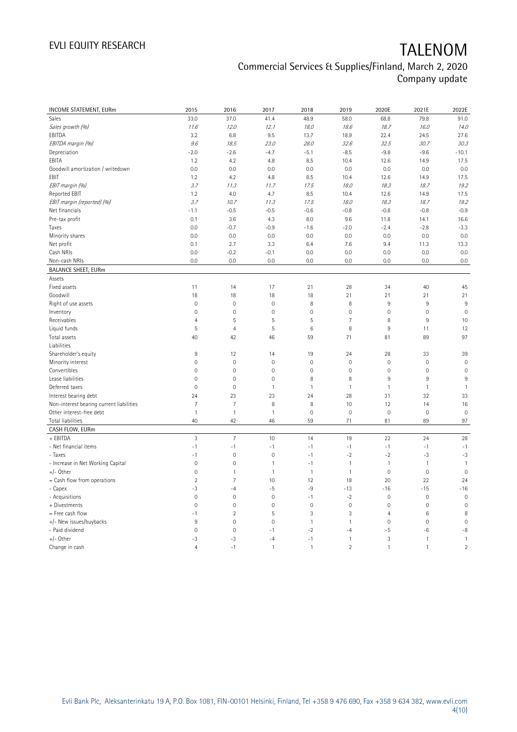| INCOME STATEMENT, EURm                    | 2015                | 2016                | 2017                | 2018         | 2019           | 2020E               | 2021E        | 2022E                |
|-------------------------------------------|---------------------|---------------------|---------------------|--------------|----------------|---------------------|--------------|----------------------|
| Sales                                     | 33.0                | 37.0                | 41.4                | 48.9         | 58.0           | 68.8                | 79.8         | 91.0                 |
| Sales growth (%)                          | 11.6                | 12.0                | 12.1                | 18.0         | 18.6           | 18.7                | 16.0         | 14.0                 |
| EBITDA                                    | 3.2                 | 6.8                 | 9.5                 | 13.7         | 18.9           | 22.4                | 24.5         | 27.6                 |
| EBITDA margin (%)                         | 9.6                 | 18.5                | 23.0                | 28.0         | 32.6           | 32.5                | 30.7         | 30.3                 |
| Depreciation                              | $-2.0$              | $-2.6$              | $-4.7$              | $-5.1$       | $-8.5$         | $-9.8$              | $-9.6$       | $-10.1$              |
| EBITA                                     | 1.2                 | 4.2                 | 4.8                 | 8.5          | 10.4           | 12.6                | 14.9         | 17.5                 |
|                                           | 0.0                 | 0.0                 | 0.0                 | 0.0          | 0.0            | 0.0                 | 0.0          | 0.0                  |
| Goodwill amortization / writedown<br>EBIT |                     |                     |                     |              |                |                     |              |                      |
|                                           | 1.2                 | 4.2                 | 4.8                 | 8.5          | 10.4           | 12.6                | 14.9         | 17.5                 |
| EBIT margin (%)                           | 3.7                 | 11.3                | 11.7                | 17.5         | 18.0           | 18.3                | 18.7         | 19.2                 |
| Reported EBIT                             | 1.2                 | 4.0                 | 4.7                 | 8.5          | 10.4           | 12.6                | 14.9         | 17.5                 |
| EBIT margin (reported) (%)                | 3.7                 | 10.7                | 11.3                | 17.5         | 18.0           | 18.3                | 18.7         | 19.2                 |
| Net financials                            | $-1.1$              | $-0.5$              | $-0.5$              | $-0.6$       | $-0.8$         | $-0.8$              | $-0.8$       | $-0.9$               |
| Pre-tax profit                            | 0.1                 | 3.6                 | 4.3                 | 8.0          | 9.6            | 11.8                | 14.1         | 16.6                 |
| Taxes                                     | 0.0                 | $-0.7$              | $-0.9$              | $-1.6$       | $-2.0$         | $-2.4$              | $-2.8$       | $-3.3$               |
| Minority shares                           | 0.0                 | 0.0                 | 0.0                 | 0.0          | 0.0            | 0.0                 | 0.0          | 0.0                  |
| Net profit                                | 0.1                 | 2.7                 | 3.3                 | 6.4          | 7.6            | 9.4                 | 11.3         | 13.3                 |
| Cash NRIs                                 | 0.0                 | $-0.2$              | $-0.1$              | 0.0          | 0.0            | 0.0                 | 0.0          | 0.0                  |
| Non-cash NRIs                             | 0.0                 | 0.0                 | 0.0                 | 0.0          | 0.0            | 0.0                 | 0.0          | 0.0                  |
| <b>BALANCE SHEET, EURm</b>                |                     |                     |                     |              |                |                     |              |                      |
| Assets                                    |                     |                     |                     |              |                |                     |              |                      |
| Fixed assets                              | 11                  | 14                  | 17                  | 21           | 28             | 34                  | 40           | 45                   |
| Goodwill                                  | 18                  | 18                  | 18                  | 18           | 21             | 21                  | 21           | 21                   |
| Right of use assets                       | $\mathsf{O}\xspace$ | $\mathbf 0$         | $\mathbf 0$         | 8            | 8              | 9                   | 9            | 9                    |
| Inventory                                 | $\mathsf{O}\xspace$ | $\mathbf 0$         | $\mathbf 0$         | $\mathbf 0$  | $\mathbf 0$    | $\mathsf{O}\xspace$ | $\mathbf 0$  | $\mathbf 0$          |
| Receivables                               | $\overline{4}$      | 5                   | 5                   | 5            | $\overline{7}$ | 8                   | 9            | 10                   |
| Liquid funds                              | 5                   | $\overline{4}$      | 5                   | 6            | 8              | $9\,$               | 11           | 12                   |
| Total assets                              | 40                  | 42                  | 46                  | 59           | 71             | 81                  | 89           | 97                   |
| Liabilities                               |                     |                     |                     |              |                |                     |              |                      |
| Shareholder's equity                      | 9                   | 12                  | 14                  | 19           | 24             | 28                  | 33           | 39                   |
| Minority interest                         | 0                   | $\mathbf 0$         | $\mathbf 0$         | $\mathbf 0$  | $\mathbf 0$    | $\mathsf{O}\xspace$ | $\mathbf 0$  | $\mathbf 0$          |
| Convertibles                              | $\mathsf{O}\xspace$ | $\mathbf 0$         | $\mathsf{O}\xspace$ | $\mathbf 0$  | $\mathbf 0$    | $\mathsf{O}\xspace$ | $\mathbf 0$  | $\mathbf 0$          |
| Lease liabilities                         | $\overline{0}$      | $\mathsf{O}\xspace$ | $\mathbb O$         | 8            | 8              | 9                   | 9            | 9                    |
| Deferred taxes                            | $\overline{0}$      | $\mathbf 0$         | $\mathbf{1}$        | $\mathbf{1}$ | $\mathbf{1}$   | $\mathbf{1}$        | $\mathbf{1}$ | $\mathbf{1}$         |
| Interest bearing debt                     | 24                  | 23                  | 23                  | 24           | 28             | 31                  | 32           | 33                   |
| Non-interest bearing current liabilities  | $\overline{7}$      | $\overline{7}$      | 8                   | 8            | 10             | 12                  | 14           | 16                   |
| Other interest-free debt                  | $\mathbf{1}$        | $\mathbf{1}$        | 1                   | $\mathbf 0$  | $\mathbf 0$    | $\mathbf 0$         | $\mathbf 0$  | $\mathbf 0$          |
| Total liabilities                         | 40                  | 42                  | 46                  | 59           | 71             | 81                  | 89           | 97                   |
| CASH FLOW, EURm                           |                     |                     |                     |              |                |                     |              |                      |
| + EBITDA                                  | 3                   | $\overline{7}$      | 10                  | 14           | 19             | 22                  | 24           | 28                   |
| - Net financial items                     | $-1$                | $-1$                | $-1$                | $-1$         | $-1$           | $-1$                | $-1$         | $-1$                 |
| - Taxes                                   | $-1$                | $\mathbf 0$         | $\mathbf 0$         | $-1$         | $-2$           | $-2$                | $-3$         | $-3$                 |
| - Increase in Net Working Capital         | $\mathsf{O}\xspace$ | $\mathbf 0$         | $\mathbf{1}$        | $-1$         | $\mathbf{1}$   | $\mathbf{1}$        | $\mathbf{1}$ | $\mathbf{1}$         |
| $+/-$ Other                               | $\mathsf{O}\xspace$ | $\mathbf{1}$        | $\mathbf{1}$        | $\mathbf{1}$ | $\mathbf{1}$   | $\mathsf{O}\xspace$ | $\mathbf 0$  | $\mathbf 0$          |
| $=$ Cash flow from operations             | $\overline{2}$      | $\overline{7}$      | 10                  | 12           | 18             | 20                  | 22           | 24                   |
|                                           | $-3$                |                     | $-5$                | -9           |                | $-16$               | $-15$        |                      |
| - Capex                                   | $\overline{0}$      | $-4$<br>$\mathbf 0$ | $\mathbf 0$         | $-1$         | $-13$<br>$-2$  | $\mathsf{O}\xspace$ | $\mathbf{0}$ | $-16$<br>$\mathbf 0$ |
| - Acquisitions                            |                     |                     |                     |              |                |                     |              |                      |
| + Divestments                             | $\mathsf{O}\xspace$ | $\mathbf 0$         | $\mathsf{O}\xspace$ | $\mathbf 0$  | $\mathbf 0$    | $\mathsf{O}\xspace$ | $\mathbf 0$  | $\mathbf 0$          |
| = Free cash flow                          | $-1$                | $\overline{2}$      | 5                   | 3            | 3              | $\overline{4}$      | 6            | 8                    |
| +/- New issues/buybacks                   | 9                   | $\mathbf 0$         | $\overline{0}$      | $\mathbf{1}$ | $\mathbf{1}$   | $\mathsf{O}\xspace$ | $\mathbf{0}$ | $\mathbf 0$          |
| - Paid dividend                           | $\mathbf 0$         | $\mathbf 0$         | $-1$                | $-2$         | $-4$           | -5                  | -6           | $-8$                 |
| $+/-$ Other                               | $-3$                | -3                  | $-4$                | $-1$         | $\mathbf{1}$   | 3                   | $\mathbf{1}$ | $\mathbf{1}$         |
| Change in cash                            | $\overline{4}$      | $-1$                | 1                   | $\mathbf{1}$ | $\overline{2}$ | $\mathbf{1}$        | $\mathbf{1}$ | $\overline{2}$       |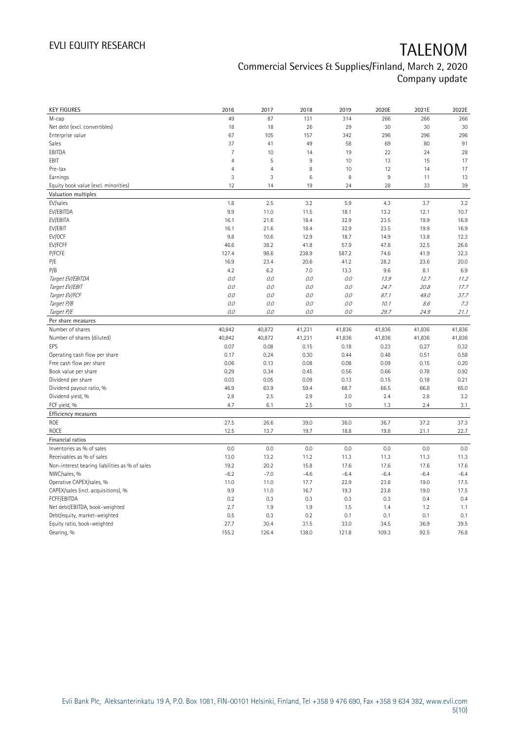| <b>KEY FIGURES</b>                             | 2016           | 2017           | 2018          | 2019          | 2020E         | 2021E        | 2022E        |
|------------------------------------------------|----------------|----------------|---------------|---------------|---------------|--------------|--------------|
| M-cap                                          | 49             | 87             | 131           | 314           | 266           | 266          | 266          |
| Net debt (excl. convertibles)                  | 18             | 18             | 26            | 29            | 30            | 30           | 30           |
| Enterprise value                               | 67             | 105            | 157           | 342           | 296           | 296          | 296          |
| Sales                                          | 37             | 41             | 49            | 58            | 69            | 80           | 91           |
| EBITDA                                         | $\overline{7}$ | 10             | 14            | 19            | 22            | 24           | 28           |
| EBIT                                           | $\overline{4}$ | 5              | 9             | 10            | 13            | 15           | 17           |
| Pre-tax                                        | $\overline{4}$ | $\overline{4}$ | 8             | 10            | 12            | 14           | 17           |
| Earnings                                       | 3              | 3              | $\,6$         | 8             | $9\,$         | 11           | 13           |
| Equity book value (excl. minorities)           | 12             | 14             | 19            | 24            | 28            | 33           | 39           |
| Valuation multiples                            |                |                |               |               |               |              |              |
| EV/sales                                       | 1.8            | 2.5            | 3.2           | 5.9           | 4.3           | 3.7          | 3.2          |
| EV/EBITDA                                      | 9.9            | 11.0           | 11.5          | 18.1          | 13.2          | 12.1         | 10.7         |
| EV/EBITA                                       | 16.1           | 21.6           | 18.4          | 32.9          | 23.5          | 19.9         | 16.9         |
| EV/EBIT                                        | 16.1           | 21.6           | 18.4          | 32.9          | 23.5          | 19.9         | 16.9         |
| EV/OCF                                         | 9.8            | 10.6           | 12.9          | 18.7          | 14.9          | 13.8         | 12.3         |
| EV/FCFF                                        | 46.6           | 38.2           | 41.8          | 57.9          | 47.8          | 32.5         | 26.6         |
| P/FCFE                                         | 127.4          | 98.6           | 238.9         | 587.2         | 74.6          | 41.9         | 32.3         |
| P/E                                            | 16.9           | 23.4           | 20.6          | 41.2          | 28.2          | 23.6         | 20.0         |
| P/B                                            | 4.2            | 6.2            | 7.0           | 13.3          | 9.6           | 8.1          | 6.9          |
| Target EV/EBITDA                               | $0.0$          | $O.O$          | 0.0           | $O.O$         | 13.9          | 12.7         | 11.2         |
| Target EV/EBIT                                 | 0.0            | $O.O$          | 0.0           | $O.O$         | 24.7          | 20.8         | 17.7         |
| Target EV/FCF                                  | 0.0            | 0.0            | 0.0           | 0.0           | 87.1          | 49.0         | 37.7         |
| Target P/B                                     | $O.O$          | O.O            | 0.0           | $O.O$         | 10.1          | 8.6          | 7.3          |
| Target P/E                                     | O.O            | 0.0            | 0.0           | $O.O$         | 29.7          | 24.9         | 21.1         |
| Per share measures                             |                |                |               |               |               |              |              |
|                                                |                |                |               |               |               |              |              |
|                                                |                |                |               |               |               |              |              |
| Number of shares                               | 40,842         | 40,872         | 41,231        | 41,836        | 41,836        | 41,836       | 41,836       |
| Number of shares (diluted)                     | 40,842         | 40,872         | 41,231        | 41,836        | 41,836        | 41,836       | 41,836       |
| EPS                                            | 0.07           | 0.08           | 0.15          | 0.18          | 0.23          | 0.27         | 0.32         |
| Operating cash flow per share                  | 0.17           | 0.24           | 0.30          | 0.44          | 0.48          | 0.51         | 0.58         |
| Free cash flow per share                       | 0.06           | 0.13           | 0.08          | 0.08          | 0.09          | 0.15         | 0.20         |
| Book value per share                           | 0.29           | 0.34           | 0.45          | 0.56          | 0.66          | 0.78         | 0.92         |
| Dividend per share                             | 0.03           | 0.05           | 0.09          | 0.13          | 0.15          | 0.18         | 0.21         |
| Dividend payout ratio, %                       | 46.9           | 63.9           | 59.4          | 68.7          | 66.5          | 66.8         | 65.0         |
| Dividend yield, %                              | 2.8            | 2.5            | 2.9           | 2.0           | 2.4           | 2.8          | 3.2          |
| FCF yield, %                                   | 4.7            | 6.1            | 2.5           | 1.0           | 1.3           | 2.4          | 3.1          |
| Efficiency measures                            |                |                |               |               |               |              |              |
| <b>ROE</b>                                     | 27.5           | 26.6           | 39.0          | 36.0          | 36.7          | 37.2         | 37.3         |
| <b>ROCE</b>                                    | 12.5           | 13.7           | 19.7          | 18.8          | 19.8          | 21.1         | 22.7         |
| Financial ratios                               |                |                |               |               |               |              |              |
| Inventories as % of sales                      | 0.0            | 0.0            | 0.0           | 0.0           | 0.0           | 0.0          | 0.0          |
| Receivables as % of sales                      | 13.0           | 13.2           | 11.2          | 11.3          | 11.3          | 11.3         | 11.3         |
| Non-interest bearing liabilities as % of sales | 19.2           | 20.2           | 15.8          | 17.6          | 17.6          | 17.6         | 17.6         |
| NWC/sales, %                                   | $-6.2$         | $-7.0$         | $-4.6$        | $-6.4$        | $-6.4$        | $-6.4$       | $-6.4$       |
| Operative CAPEX/sales, %                       | 11.0           | 11.0           | 17.7          | 22.9          | 23.8          | 19.0         | 17.5         |
| CAPEX/sales (incl. acquisitions), %            | 9.9            | 11.0           | 16.7          | 19.3          | 23.8          | 19.0         | 17.5         |
| FCFF/EBITDA                                    | 0.2            | 0.3            | 0.3           | 0.3           | 0.3           | 0.4          | 0.4          |
| Net debt/EBITDA, book-weighted                 | 2.7            | 1.9            | 1.9           | 1.5           | 1.4           | 1.2          | 1.1          |
| Debt/equity, market-weighted                   | 0.5            | 0.3            | 0.2           | 0.1           | 0.1           | 0.1          | 0.1          |
| Equity ratio, book-weighted<br>Gearing, %      | 27.7<br>155.2  | 30.4<br>126.4  | 31.5<br>138.0 | 33.0<br>121.8 | 34.5<br>109.3 | 36.9<br>92.5 | 39.5<br>76.8 |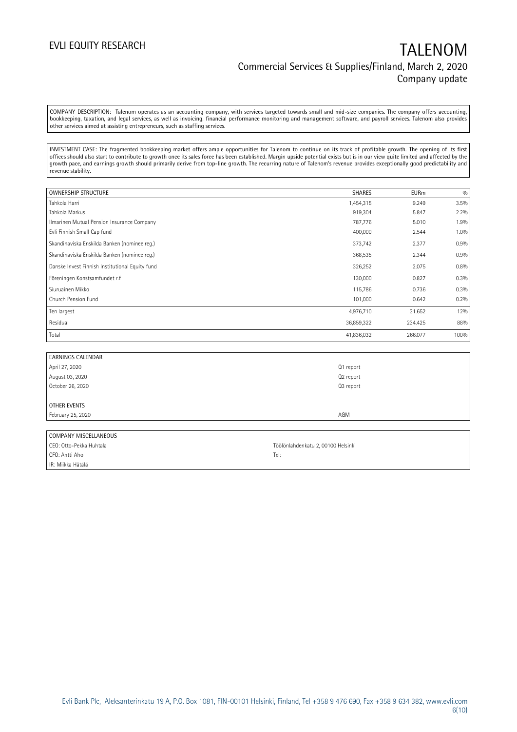COMPANY DESCRIPTION: Talenom operates as an accounting company, with services targeted towards small and mid-size companies. The company offers accounting, bookkeeping, taxation, and legal services, as well as invoicing, financial performance monitoring and management software, and payroll services. Talenom also provides other services aimed at assisting entrepreneurs, such as staffing services.

INVESTMENT CASE: The fragmented bookkeeping market offers ample opportunities for Talenom to continue on its track of profitable growth. The opening of its first offices should also start to contribute to growth once its sales force has been established. Margin upside potential exists but is in our view quite limited and affected by the growth pace, and earnings growth should primarily derive from top-line growth. The recurring nature of Talenom's revenue provides exceptionally good predictability and revenue stability.

| OWNERSHIP STRUCTURE                             | <b>SHARES</b> | <b>EURm</b> | 0/0     |
|-------------------------------------------------|---------------|-------------|---------|
| Tahkola Harri                                   | 1,454,315     | 9.249       | 3.5%    |
| Tahkola Markus                                  | 919,304       | 5.847       | $2.2\%$ |
| Ilmarinen Mutual Pension Insurance Company      | 787,776       | 5.010       | 1.9%    |
| Evli Finnish Small Cap fund                     | 400,000       | 2.544       | 1.0%    |
| Skandinaviska Enskilda Banken (nominee reg.)    | 373,742       | 2.377       | 0.9%    |
| Skandinaviska Enskilda Banken (nominee reg.)    | 368,535       | 2.344       | 0.9%    |
| Danske Invest Finnish Institutional Equity fund | 326,252       | 2.075       | 0.8%    |
| Föreningen Konstsamfundet r.f                   | 130,000       | 0.827       | 0.3%    |
| Siuruainen Mikko                                | 115,786       | 0.736       | 0.3%    |
| Church Pension Fund                             | 101,000       | 0.642       | 0.2%    |
| Ten largest                                     | 4,976,710     | 31.652      | 12%     |
| Residual                                        | 36,859,322    | 234.425     | 88%     |
| Total                                           | 41,836,032    | 266.077     | 100%    |

| <b>EARNINGS CALENDAR</b> |           |
|--------------------------|-----------|
| April 27, 2020           | Q1 report |
| August 03, 2020          | Q2 report |
| October 26, 2020         | Q3 report |
|                          |           |
| <b>OTHER EVENTS</b>      |           |
| February 25, 2020        | AGM       |
|                          |           |

| COMPANY MISCELLANEOUS   |                                    |
|-------------------------|------------------------------------|
| CEO: Otto-Pekka Huhtala | Töölönlahdenkatu 2, 00100 Helsinki |
| CFO: Antti Aho          | Tel:                               |
| IR: Miikka Hätälä       |                                    |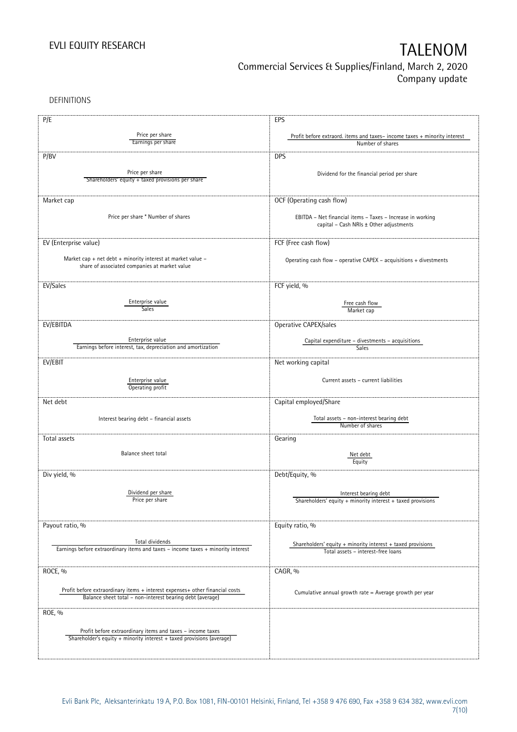DEFINITIONS

| P/E                                                                              | EPS                                                                                          |
|----------------------------------------------------------------------------------|----------------------------------------------------------------------------------------------|
| Price per share                                                                  |                                                                                              |
| Earnings per share                                                               | Profit before extraord. items and taxes-income taxes + minority interest<br>Number of shares |
|                                                                                  |                                                                                              |
| P/BV                                                                             | <b>DPS</b>                                                                                   |
|                                                                                  |                                                                                              |
| Price per share                                                                  | Dividend for the financial period per share                                                  |
| Shareholders' equity + taxed provisions per share                                |                                                                                              |
|                                                                                  |                                                                                              |
| Market cap                                                                       | OCF (Operating cash flow)                                                                    |
|                                                                                  |                                                                                              |
| Price per share * Number of shares                                               | EBITDA - Net financial items - Taxes - Increase in working                                   |
|                                                                                  | capital - Cash NRIs ± Other adjustments                                                      |
|                                                                                  |                                                                                              |
| EV (Enterprise value)                                                            | FCF (Free cash flow)                                                                         |
|                                                                                  |                                                                                              |
| Market cap + net debt + minority interest at market value -                      | Operating cash flow - operative CAPEX - acquisitions + divestments                           |
| share of associated companies at market value                                    |                                                                                              |
|                                                                                  |                                                                                              |
| EV/Sales                                                                         | FCF yield, %                                                                                 |
|                                                                                  |                                                                                              |
| Enterprise value                                                                 | Free cash flow                                                                               |
| Sales                                                                            | Market cap                                                                                   |
| EV/EBITDA                                                                        |                                                                                              |
|                                                                                  | Operative CAPEX/sales                                                                        |
| Enterprise value                                                                 | Capital expenditure - divestments - acquisitions                                             |
| Earnings before interest, tax, depreciation and amortization                     | Sales                                                                                        |
|                                                                                  |                                                                                              |
| EV/EBIT                                                                          | Net working capital                                                                          |
|                                                                                  |                                                                                              |
| Enterprise value                                                                 | Current assets - current liabilities                                                         |
| Operating profit                                                                 |                                                                                              |
| Net debt                                                                         | Capital employed/Share                                                                       |
|                                                                                  |                                                                                              |
| Interest bearing debt - financial assets                                         | Total assets - non-interest bearing debt                                                     |
|                                                                                  | Number of shares                                                                             |
|                                                                                  |                                                                                              |
| Total assets                                                                     | Gearing                                                                                      |
| Balance sheet total                                                              | Net debt                                                                                     |
|                                                                                  | Equity                                                                                       |
|                                                                                  |                                                                                              |
| Div yield, %                                                                     | Debt/Equity, %                                                                               |
|                                                                                  |                                                                                              |
| Dividend per share                                                               | Interest bearing debt                                                                        |
| Price per share                                                                  | Shareholders' equity $+$ minority interest $+$ taxed provisions                              |
|                                                                                  |                                                                                              |
|                                                                                  |                                                                                              |
| Payout ratio, %                                                                  | Equity ratio, %                                                                              |
| Total dividends                                                                  |                                                                                              |
| Earnings before extraordinary items and taxes - income taxes + minority interest | Shareholders' equity + minority interest + taxed provisions                                  |
|                                                                                  | Total assets - interest-free loans                                                           |
|                                                                                  |                                                                                              |
| ROCE, %                                                                          | CAGR, %                                                                                      |
|                                                                                  |                                                                                              |
| Profit before extraordinary items + interest expenses+ other financial costs     | Cumulative annual growth rate = Average growth per year                                      |
| Balance sheet total - non-interest bearing debt (average)                        |                                                                                              |
|                                                                                  |                                                                                              |
| ROE, %                                                                           |                                                                                              |
|                                                                                  |                                                                                              |
| Profit before extraordinary items and taxes - income taxes                       |                                                                                              |
| Shareholder's equity + minority interest + taxed provisions (average)            |                                                                                              |
|                                                                                  |                                                                                              |
|                                                                                  |                                                                                              |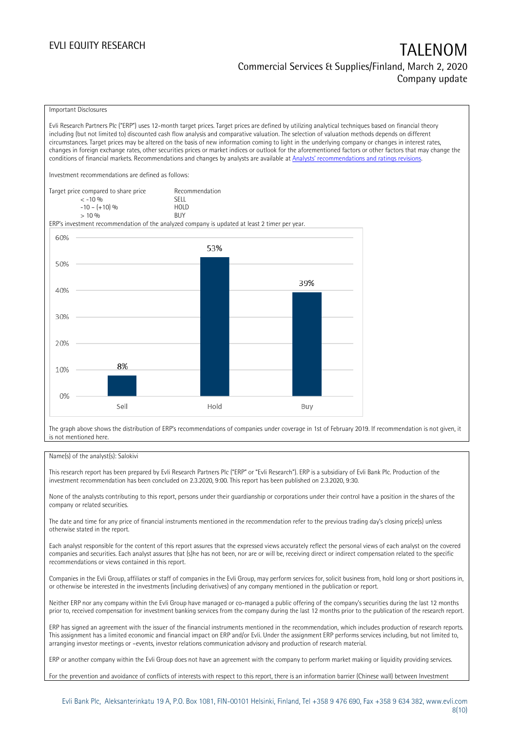### Important Disclosures

Evli Research Partners Plc ("ERP") uses 12-month target prices. Target prices are defined by utilizing analytical techniques based on financial theory including (but not limited to) discounted cash flow analysis and comparative valuation. The selection of valuation methods depends on different circumstances. Target prices may be altered on the basis of new information coming to light in the underlying company or changes in interest rates, changes in foreign exchange rates, other securities prices or market indices or outlook for the aforementioned factors or other factors that may change the conditions of financial markets. Recommendations and changes by analysts are available at [Analysts' recommendations and ratings revisions](https://research.evli.com/JasperAllModels.action?authParam=key;461&authParam=x;G3rNagWrtf7K&authType=3). Investment recommendations are defined as follows: Target price compared to share price Recommendation<br>CELL CALLO 06 < -10 % SELL  $-10 - (+10) \%$  HOL<br>  $> 10 \%$  BUY  $> 10\%$ ERP's investment recommendation of the analyzed company is updated at least 2 timer per year. 60% 53% 50% 39% 40% 30% 20% 8% 10%  $0%$ Hold Sell Buy

The graph above shows the distribution of ERP's recommendations of companies under coverage in 1st of February 2019. If recommendation is not given, it is not mentioned here.

### Name(s) of the analyst(s): Salokivi

This research report has been prepared by Evli Research Partners Plc ("ERP" or "Evli Research"). ERP is a subsidiary of Evli Bank Plc. Production of the investment recommendation has been concluded on 2.3.2020, 9:00. This report has been published on 2.3.2020, 9:30.

None of the analysts contributing to this report, persons under their guardianship or corporations under their control have a position in the shares of the company or related securities.

The date and time for any price of financial instruments mentioned in the recommendation refer to the previous trading day's closing price(s) unless otherwise stated in the report.

Each analyst responsible for the content of this report assures that the expressed views accurately reflect the personal views of each analyst on the covered companies and securities. Each analyst assures that (s)he has not been, nor are or will be, receiving direct or indirect compensation related to the specific recommendations or views contained in this report.

Companies in the Evli Group, affiliates or staff of companies in the Evli Group, may perform services for, solicit business from, hold long or short positions in, or otherwise be interested in the investments (including derivatives) of any company mentioned in the publication or report.

Neither ERP nor any company within the Evli Group have managed or co-managed a public offering of the company's securities during the last 12 months prior to, received compensation for investment banking services from the company during the last 12 months prior to the publication of the research report.

ERP has signed an agreement with the issuer of the financial instruments mentioned in the recommendation, which includes production of research reports. This assignment has a limited economic and financial impact on ERP and/or Evli. Under the assignment ERP performs services including, but not limited to, arranging investor meetings or –events, investor relations communication advisory and production of research material.

ERP or another company within the Evli Group does not have an agreement with the company to perform market making or liquidity providing services.

For the prevention and avoidance of conflicts of interests with respect to this report, there is an information barrier (Chinese wall) between Investment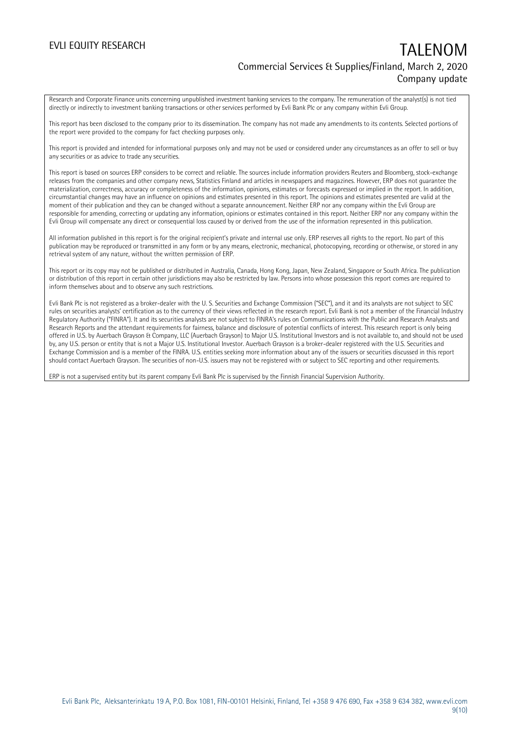Research and Corporate Finance units concerning unpublished investment banking services to the company. The remuneration of the analyst(s) is not tied directly or indirectly to investment banking transactions or other services performed by Evli Bank Plc or any company within Evli Group.

This report has been disclosed to the company prior to its dissemination. The company has not made any amendments to its contents. Selected portions of the report were provided to the company for fact checking purposes only.

This report is provided and intended for informational purposes only and may not be used or considered under any circumstances as an offer to sell or buy any securities or as advice to trade any securities.

This report is based on sources ERP considers to be correct and reliable. The sources include information providers Reuters and Bloomberg, stock-exchange releases from the companies and other company news, Statistics Finland and articles in newspapers and magazines. However, ERP does not guarantee the materialization, correctness, accuracy or completeness of the information, opinions, estimates or forecasts expressed or implied in the report. In addition, circumstantial changes may have an influence on opinions and estimates presented in this report. The opinions and estimates presented are valid at the moment of their publication and they can be changed without a separate announcement. Neither ERP nor any company within the Evli Group are responsible for amending, correcting or updating any information, opinions or estimates contained in this report. Neither ERP nor any company within the Evli Group will compensate any direct or consequential loss caused by or derived from the use of the information represented in this publication.

All information published in this report is for the original recipient's private and internal use only. ERP reserves all rights to the report. No part of this publication may be reproduced or transmitted in any form or by any means, electronic, mechanical, photocopying, recording or otherwise, or stored in any retrieval system of any nature, without the written permission of ERP.

This report or its copy may not be published or distributed in Australia, Canada, Hong Kong, Japan, New Zealand, Singapore or South Africa. The publication or distribution of this report in certain other jurisdictions may also be restricted by law. Persons into whose possession this report comes are required to inform themselves about and to observe any such restrictions.

Evli Bank Plc is not registered as a broker-dealer with the U. S. Securities and Exchange Commission ("SEC"), and it and its analysts are not subject to SEC rules on securities analysts' certification as to the currency of their views reflected in the research report. Evli Bank is not a member of the Financial Industry Regulatory Authority ("FINRA"). It and its securities analysts are not subject to FINRA's rules on Communications with the Public and Research Analysts and Research Reports and the attendant requirements for fairness, balance and disclosure of potential conflicts of interest. This research report is only being offered in U.S. by Auerbach Grayson & Company, LLC (Auerbach Grayson) to Major U.S. Institutional Investors and is not available to, and should not be used by, any U.S. person or entity that is not a Major U.S. Institutional Investor. Auerbach Grayson is a broker-dealer registered with the U.S. Securities and Exchange Commission and is a member of the FINRA. U.S. entities seeking more information about any of the issuers or securities discussed in this report should contact Auerbach Grayson. The securities of non-U.S. issuers may not be registered with or subject to SEC reporting and other requirements.

ERP is not a supervised entity but its parent company Evli Bank Plc is supervised by the Finnish Financial Supervision Authority.